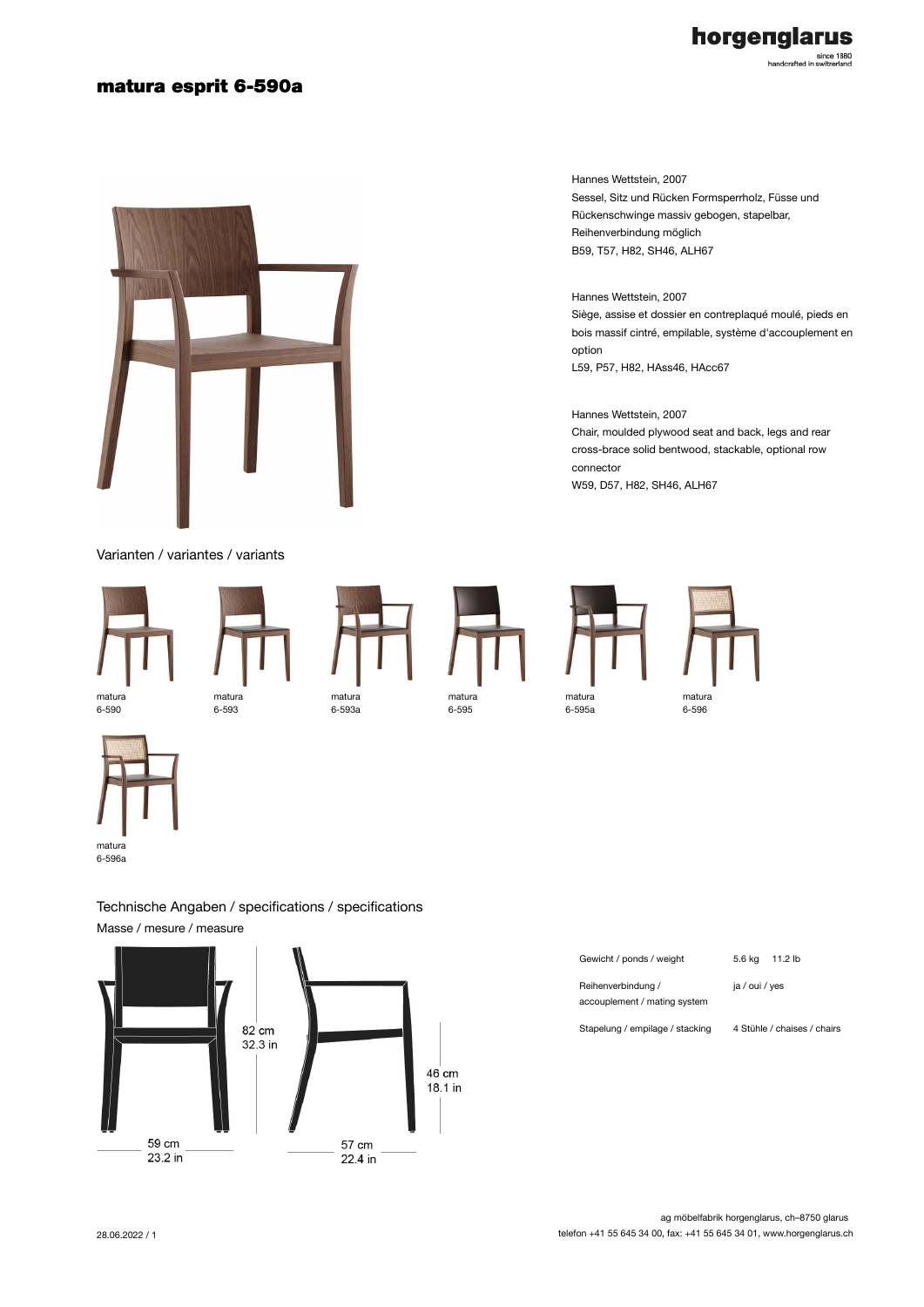## matura esprit 6-590a



Varianten / variantes / variants



6-590





matura 6-595

matura 6-595a





6-596a

Technische Angaben / specifications / specifications Masse / mesure / measure



| Gewicht / ponds / weight                           | 5.6 ka<br>11.2 lb           |
|----------------------------------------------------|-----------------------------|
| Reihenverbindung /<br>accouplement / mating system | ia / oui / ves              |
| Stapelung / empilage / stacking                    | 4 Stühle / chaises / chairs |

Hannes Wettstein, 2007 Sessel, Sitz und Rücken Formsperrholz, Füsse und Rückenschwinge massiv gebogen, stapelbar, Reihenverbindung möglich B59, T57, H82, SH46, ALH67

Hannes Wettstein, 2007 Siège, assise et dossier en contreplaqué moulé, pieds en bois massif cintré, empilable, système d'accouplement en option L59, P57, H82, HAss46, HAcc67

Hannes Wettstein, 2007 Chair, moulded plywood seat and back, legs and rear cross-brace solid bentwood, stackable, optional row connector W59, D57, H82, SH46, ALH67

horgenglarus since 1880<br>handcrafted in switzerland